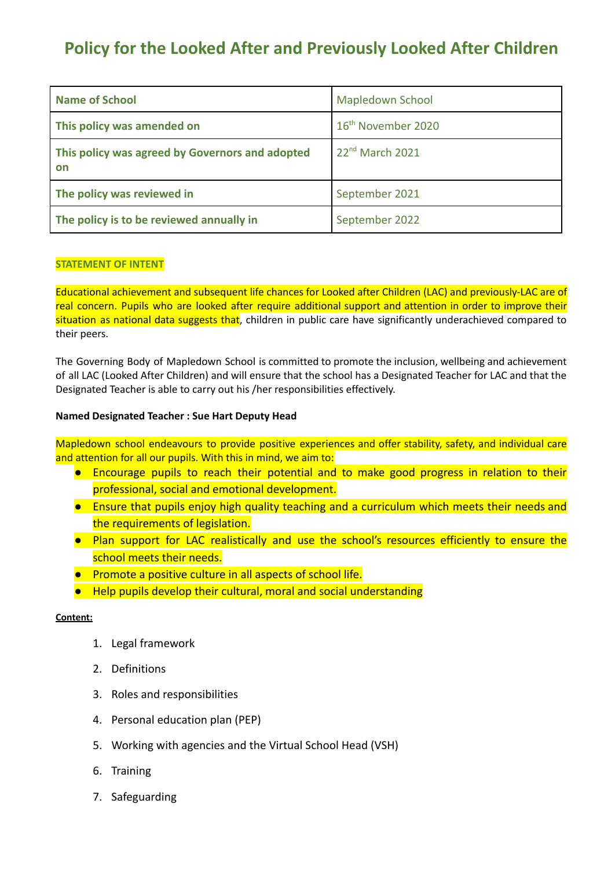# **Policy for the Looked After and Previously Looked After Children**

| <b>Name of School</b>                                 | <b>Mapledown School</b>        |
|-------------------------------------------------------|--------------------------------|
| This policy was amended on                            | 16 <sup>th</sup> November 2020 |
| This policy was agreed by Governors and adopted<br>on | 22 <sup>nd</sup> March 2021    |
| The policy was reviewed in                            | September 2021                 |
| The policy is to be reviewed annually in              | September 2022                 |

### **STATEMENT OF INTENT**

Educational achievement and subsequent life chances for Looked after Children (LAC) and previously-LAC are of real concern. Pupils who are looked after require additional support and attention in order to improve their situation as national data suggests that, children in public care have significantly underachieved compared to their peers.

The Governing Body of Mapledown School is committed to promote the inclusion, wellbeing and achievement of all LAC (Looked After Children) and will ensure that the school has a Designated Teacher for LAC and that the Designated Teacher is able to carry out his /her responsibilities effectively.

### **Named Designated Teacher : Sue Hart Deputy Head**

Mapledown school endeavours to provide positive experiences and offer stability, safety, and individual care and attention for all our pupils. With this in mind, we aim to:

- Encourage pupils to reach their potential and to make good progress in relation to their professional, social and emotional development.
- Ensure that pupils enjoy high quality teaching and a curriculum which meets their needs and the requirements of legislation.
- Plan support for LAC realistically and use the school's resources efficiently to ensure the school meets their needs.
- Promote a positive culture in all aspects of school life.
- Help pupils develop their cultural, moral and social understanding

#### **Content:**

- 1. Legal framework
- 2. Definitions
- 3. Roles and responsibilities
- 4. Personal education plan (PEP)
- 5. Working with agencies and the Virtual School Head (VSH)
- 6. Training
- 7. Safeguarding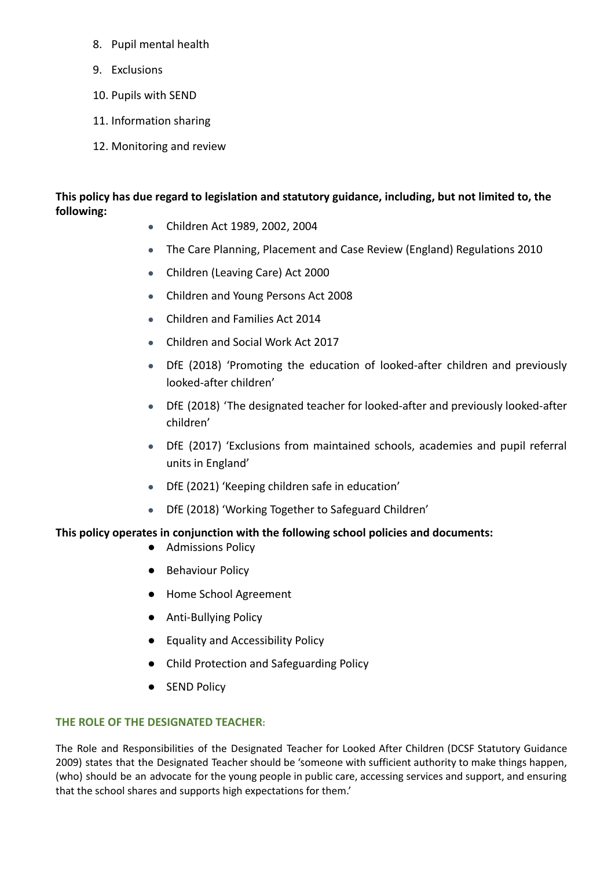- 8. Pupil mental health
- 9. Exclusions
- 10. Pupils with SEND
- 11. Information sharing
- 12. Monitoring and review

## **This policy has due regard to legislation and statutory guidance, including, but not limited to, the following:**

- Children Act 1989, 2002, 2004
- The Care Planning, Placement and Case Review (England) Regulations 2010
- Children (Leaving Care) Act 2000
- Children and Young Persons Act 2008
- Children and Families Act 2014
- Children and Social Work Act 2017
- DfE (2018) 'Promoting the education of looked-after children and previously looked-after children'
- DfE (2018) 'The designated teacher for looked-after and previously looked-after children'
- DfE (2017) 'Exclusions from maintained schools, academies and pupil referral units in England'
- DfE (2021) 'Keeping children safe in education'
- DfE (2018) 'Working Together to Safeguard Children'

## **This policy operates in conjunction with the following school policies and documents:**

- Admissions Policy
- Behaviour Policy
- Home School Agreement
- Anti-Bullying Policy
- Equality and Accessibility Policy
- Child Protection and Safeguarding Policy
- **SEND Policy**

## **THE ROLE OF THE DESIGNATED TEACHER:**

The Role and Responsibilities of the Designated Teacher for Looked After Children (DCSF Statutory Guidance 2009) states that the Designated Teacher should be 'someone with sufficient authority to make things happen, (who) should be an advocate for the young people in public care, accessing services and support, and ensuring that the school shares and supports high expectations for them.'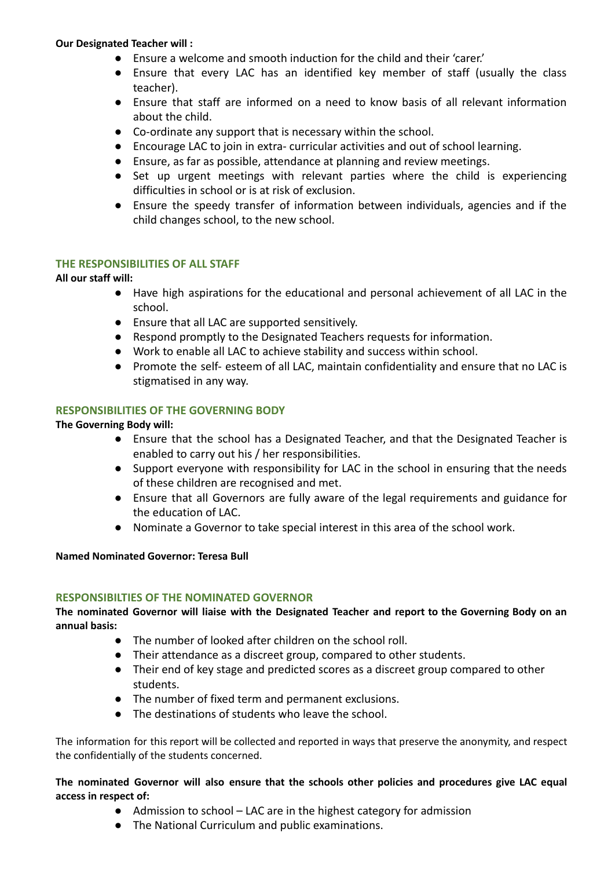## **Our Designated Teacher will :**

- Ensure a welcome and smooth induction for the child and their 'carer.'
- Ensure that every LAC has an identified key member of staff (usually the class teacher).
- Ensure that staff are informed on a need to know basis of all relevant information about the child.
- Co-ordinate any support that is necessary within the school.
- Encourage LAC to join in extra- curricular activities and out of school learning.
- Ensure, as far as possible, attendance at planning and review meetings.
- Set up urgent meetings with relevant parties where the child is experiencing difficulties in school or is at risk of exclusion.
- Ensure the speedy transfer of information between individuals, agencies and if the child changes school, to the new school.

## **THE RESPONSIBILITIES OF ALL STAFF**

### **All our staff will:**

- Have high aspirations for the educational and personal achievement of all LAC in the school.
- Ensure that all LAC are supported sensitively.
- Respond promptly to the Designated Teachers requests for information.
- Work to enable all LAC to achieve stability and success within school.
- Promote the self- esteem of all LAC, maintain confidentiality and ensure that no LAC is stigmatised in any way.

## **RESPONSIBILITIES OF THE GOVERNING BODY**

### **The Governing Body will:**

- **●** Ensure that the school has a Designated Teacher, and that the Designated Teacher is enabled to carry out his / her responsibilities.
- **●** Support everyone with responsibility for LAC in the school in ensuring that the needs of these children are recognised and met.
- **●** Ensure that all Governors are fully aware of the legal requirements and guidance for the education of LAC.
- **●** Nominate a Governor to take special interest in this area of the school work.

#### **Named Nominated Governor: Teresa Bull**

#### **RESPONSIBILTIES OF THE NOMINATED GOVERNOR**

**The nominated Governor will liaise with the Designated Teacher and report to the Governing Body on an annual basis:**

- **●** The number of looked after children on the school roll.
- **●** Their attendance as a discreet group, compared to other students.
- **●** Their end of key stage and predicted scores as a discreet group compared to other students.
- **●** The number of fixed term and permanent exclusions.
- **●** The destinations of students who leave the school.

The information for this report will be collected and reported in ways that preserve the anonymity, and respect the confidentially of the students concerned.

**The nominated Governor will also ensure that the schools other policies and procedures give LAC equal access in respect of:**

- Admission to school LAC are in the highest category for admission
- The National Curriculum and public examinations.